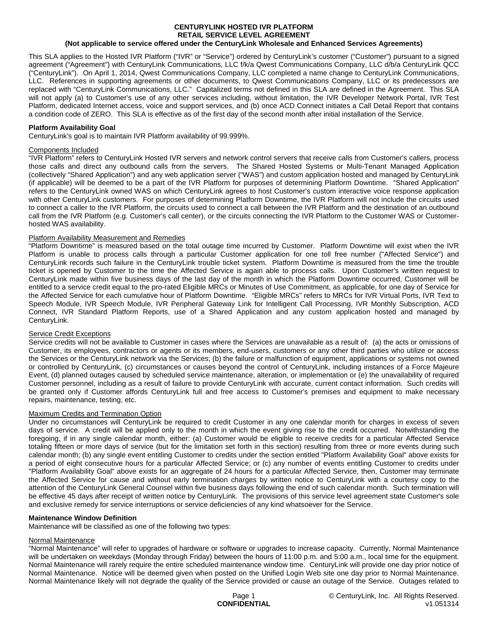# **CENTURYLINK HOSTED IVR PLATFORM RETAIL SERVICE LEVEL AGREEMENT**

# **(Not applicable to service offered under the CenturyLink Wholesale and Enhanced Services Agreements)**

This SLA applies to the Hosted IVR Platform ("IVR" or "Service") ordered by CenturyLink's customer ("Customer") pursuant to a signed agreement ("Agreement") with CenturyLink Communications, LLC f/k/a Qwest Communications Company, LLC d/b/a CenturyLink QCC ("CenturyLink"). On April 1, 2014, Qwest Communications Company, LLC completed a name change to CenturyLink Communications, LLC. References in supporting agreements or other documents, to Qwest Communications Company, LLC or its predecessors are replaced with "CenturyLink Communications, LLC." Capitalized terms not defined in this SLA are defined in the Agreement. This SLA will not apply (a) to Customer's use of any other services including, without limitation, the IVR Developer Network Portal, IVR Test Platform, dedicated Internet access, voice and support services, and (b) once ACD Connect initiates a Call Detail Report that contains a condition code of ZERO. This SLA is effective as of the first day of the second month after initial installation of the Service.

## **Platform Availability Goal**

CenturyLink's goal is to maintain IVR Platform availability of 99.999%.

### Components Included

"IVR Platform" refers to CenturyLink Hosted IVR servers and network control servers that receive calls from Customer's callers, process those calls and direct any outbound calls from the servers. The Shared Hosted Systems or Multi-Tenant Managed Application (collectively "Shared Application") and any web application server ("WAS") and custom application hosted and managed by CenturyLink (if applicable) will be deemed to be a part of the IVR Platform for purposes of determining Platform Downtime. "Shared Application" refers to the CenturyLink owned WAS on which CenturyLink agrees to host Customer's custom interactive voice response application with other CenturyLink customers. For purposes of determining Platform Downtime, the IVR Platform will not include the circuits used to connect a caller to the IVR Platform, the circuits used to connect a call between the IVR Platform and the destination of an outbound call from the IVR Platform (e.g. Customer's call center), or the circuits connecting the IVR Platform to the Customer WAS or Customerhosted WAS availability.

## Platform Availability Measurement and Remedies

"Platform Downtime" is measured based on the total outage time incurred by Customer. Platform Downtime will exist when the IVR Platform is unable to process calls through a particular Customer application for one toll free number ("Affected Service") and CenturyLink records such failure in the CenturyLink trouble ticket system. Platform Downtime is measured from the time the trouble ticket is opened by Customer to the time the Affected Service is again able to process calls. Upon Customer's written request to CenturyLink made within five business days of the last day of the month in which the Platform Downtime occurred, Customer will be entitled to a service credit equal to the pro-rated Eligible MRCs or Minutes of Use Commitment, as applicable, for one day of Service for the Affected Service for each cumulative hour of Platform Downtime. "Eligible MRCs" refers to MRCs for IVR Virtual Ports, IVR Text to Speech Module, IVR Speech Module, IVR Peripheral Gateway Link for Intelligent Call Processing, IVR Monthly Subscription, ACD Connect, IVR Standard Platform Reports, use of a Shared Application and any custom application hosted and managed by CenturyLink.

#### Service Credit Exceptions

Service credits will not be available to Customer in cases where the Services are unavailable as a result of: (a) the acts or omissions of Customer, its employees, contractors or agents or its members, end-users, customers or any other third parties who utilize or access the Services or the CenturyLink network via the Services; (b) the failure or malfunction of equipment, applications or systems not owned or controlled by CenturyLink, (c) circumstances or causes beyond the control of CenturyLink, including instances of a Force Majeure Event, (d) planned outages caused by scheduled service maintenance, alteration, or implementation or (e) the unavailability of required Customer personnel, including as a result of failure to provide CenturyLink with accurate, current contact information. Such credits will be granted only if Customer affords CenturyLink full and free access to Customer's premises and equipment to make necessary repairs, maintenance, testing, etc.

#### Maximum Credits and Termination Option

Under no circumstances will CenturyLink be required to credit Customer in any one calendar month for charges in excess of seven days of service. A credit will be applied only to the month in which the event giving rise to the credit occurred. Notwithstanding the foregoing, if in any single calendar month, either: (a) Customer would be eligible to receive credits for a particular Affected Service totaling fifteen or more days of service (but for the limitation set forth in this section) resulting from three or more events during such calendar month; (b) any single event entitling Customer to credits under the section entitled "Platform Availability Goal" above exists for a period of eight consecutive hours for a particular Affected Service; or (c) any number of events entitling Customer to credits under "Platform Availability Goal" above exists for an aggregate of 24 hours for a particular Affected Service, then, Customer may terminate the Affected Service for cause and without early termination charges by written notice to CenturyLink with a courtesy copy to the attention of the CenturyLink General Counsel within five business days following the end of such calendar month. Such termination will be effective 45 days after receipt of written notice by CenturyLink. The provisions of this service level agreement state Customer's sole and exclusive remedy for service interruptions or service deficiencies of any kind whatsoever for the Service.

# **Maintenance Window Definition**

Maintenance will be classified as one of the following two types:

#### Normal Maintenance

"Normal Maintenance" will refer to upgrades of hardware or software or upgrades to increase capacity. Currently, Normal Maintenance will be undertaken on weekdays (Monday through Friday) between the hours of 11:00 p.m. and 5:00 a.m., local time for the equipment. Normal Maintenance will rarely require the entire scheduled maintenance window time. CenturyLink will provide one day prior notice of Normal Maintenance. Notice will be deemed given when posted on the Unified Login Web site one day prior to Normal Maintenance. Normal Maintenance likely will not degrade the quality of the Service provided or cause an outage of the Service. Outages related to